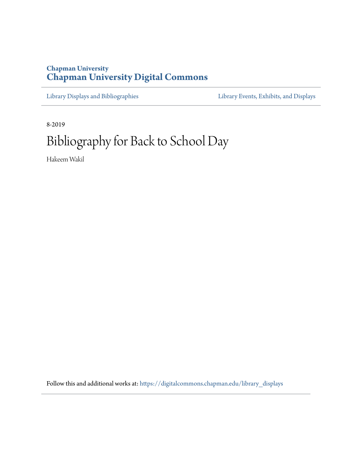# **Chapman University [Chapman University Digital Commons](https://digitalcommons.chapman.edu/?utm_source=digitalcommons.chapman.edu%2Flibrary_displays%2F9&utm_medium=PDF&utm_campaign=PDFCoverPages)**

[Library Displays and Bibliographies](https://digitalcommons.chapman.edu/library_displays?utm_source=digitalcommons.chapman.edu%2Flibrary_displays%2F9&utm_medium=PDF&utm_campaign=PDFCoverPages) [Library Events, Exhibits, and Displays](https://digitalcommons.chapman.edu/library_events?utm_source=digitalcommons.chapman.edu%2Flibrary_displays%2F9&utm_medium=PDF&utm_campaign=PDFCoverPages)

8-2019 Bibliography for Back to School Day

Hakeem Wakil

Follow this and additional works at: [https://digitalcommons.chapman.edu/library\\_displays](https://digitalcommons.chapman.edu/library_displays?utm_source=digitalcommons.chapman.edu%2Flibrary_displays%2F9&utm_medium=PDF&utm_campaign=PDFCoverPages)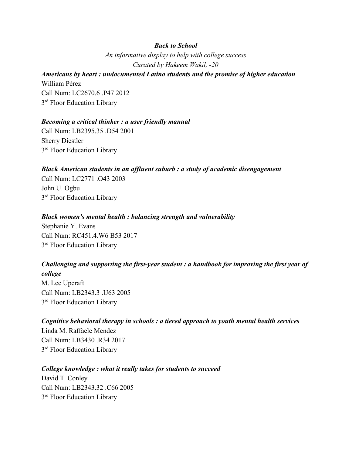# *Back to School*

*An informative display to help with college success Curated by Hakeem Wakil, -20*

### *Americans by heart : undocumented Latino students and the promise of higher education* William Pérez

Call Num: LC2670.6 .P47 2012 3<sup>rd</sup> Floor Education Library

### *Becoming a critical thinker : a user friendly manual*

Call Num: LB2395.35 .D54 2001 Sherry Diestler 3<sup>rd</sup> Floor Education Library

### *Black American students in an affluent suburb : a study of academic disengagement*

Call Num: LC2771 .O43 2003 John U. Ogbu 3<sup>rd</sup> Floor Education Library

### *Black women's mental health : balancing strength and vulnerability*

Stephanie Y. Evans Call Num: RC451.4.W6 B53 2017 3<sup>rd</sup> Floor Education Library

# *Challenging and supporting the first-year student : a handbook for improving the first year of*

*college* M. Lee Upcraft Call Num: LB2343.3 .U63 2005 3<sup>rd</sup> Floor Education Library

*Cognitive behavioral therapy in schools : a tiered approach to youth mental health services* Linda M. Raffaele Mendez Call Num: LB3430 .R34 2017 3<sup>rd</sup> Floor Education Library

#### *College knowledge : what it really takes for students to succeed*

David T. Conley Call Num: LB2343.32 .C66 2005 3<sup>rd</sup> Floor Education Library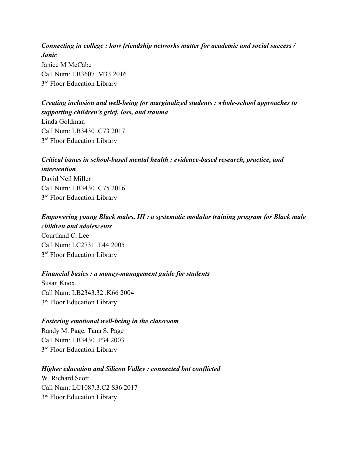*Connecting in college : how friendship networks matter for academic and social success / Janic* Janice M McCabe Call Num: LB3607 .M33 2016 3<sup>rd</sup> Floor Education Library

*Creating inclusion and well-being for marginalized students : whole-school approaches to supporting children's grief, loss, and trauma* Linda Goldman Call Num: LB3430 .C73 2017 3<sup>rd</sup> Floor Education Library

# *Critical issues in school-based mental health : evidence-based research, practice, and intervention* David Neil Miller Call Num: LB3430 .C75 2016 3<sup>rd</sup> Floor Education Library

*Empowering young Black males, III : a systematic modular training program for Black male children and adolescents* Courtland C. Lee Call Num: LC2731 .L44 2005 3<sup>rd</sup> Floor Education Library

#### *Financial basics : a money-management guide for students*

Susan Knox. Call Num: LB2343.32 .K66 2004 3<sup>rd</sup> Floor Education Library

#### *Fostering emotional well-being in the classroom*

Randy M. Page, Tana S. Page Call Num: LB3430 .P34 2003 3<sup>rd</sup> Floor Education Library

#### *Higher education and Silicon Valley : connected but conflicted*

W. Richard Scott Call Num: LC1087.3.C2 S36 2017 3<sup>rd</sup> Floor Education Library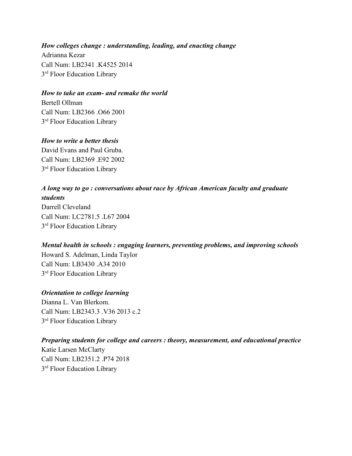# *How colleges change : understanding, leading, and enacting change*

Adrianna Kezar Call Num: LB2341 .K4525 2014 3<sup>rd</sup> Floor Education Library

### *How to take an exam- and remake the world*

Bertell Ollman Call Num: LB2366 .O66 2001 3<sup>rd</sup> Floor Education Library

## *How to write a better thesis*

David Evans and Paul Gruba. Call Num: LB2369 E92 2002 3<sup>rd</sup> Floor Education Library

# *A long way to go : conversations about race by African American faculty and graduate students* Darrell Cleveland Call Num: LC2781.5 .L67 2004 3<sup>rd</sup> Floor Education Library

# *Mental health in schools : engaging learners, preventing problems, and improving schools* Howard S. Adelman, Linda Taylor Call Num: LB3430 .A34 2010 3<sup>rd</sup> Floor Education Library

# *Orientation to college learning*

Dianna L. Van Blerkom. Call Num: LB2343.3 .V36 2013 c.2 3<sup>rd</sup> Floor Education Library

# *Preparing students for college and careers : theory, measurement, and educational practice*

Katie Larsen McClarty Call Num: LB2351.2 .P74 2018 3<sup>rd</sup> Floor Education Library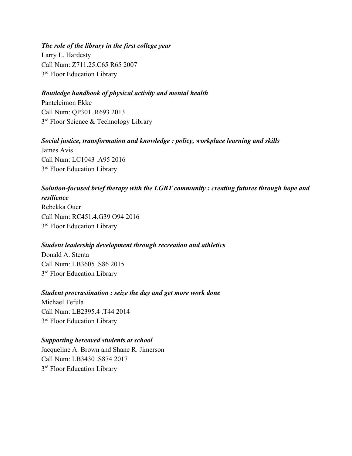### *The role of the library in the first college year*

Larry L. Hardesty Call Num: Z711.25.C65 R65 2007 3<sup>rd</sup> Floor Education Library

### *Routledge handbook of physical activity and mental health*

Panteleimon Ekke Call Num: QP301 .R693 2013 3<sup>rd</sup> Floor Science & Technology Library

### *Social justice, transformation and knowledge : policy, workplace learning and skills*

James Avis Call Num: LC1043 .A95 2016 3<sup>rd</sup> Floor Education Library

## *Solution-focused brief therapy with the LGBT community : creating futures through hope and*

*resilience* Rebekka Ouer Call Num: RC451.4.G39 O94 2016 3<sup>rd</sup> Floor Education Library

### *Student leadership development through recreation and athletics*

Donald A. Stenta Call Num: LB3605 .S86 2015 3<sup>rd</sup> Floor Education Library

### *Student procrastination : seize the day and get more work done*

Michael Tefula Call Num: LB2395.4 .T44 2014 3<sup>rd</sup> Floor Education Library

### *Supporting bereaved students at school*

Jacqueline A. Brown and Shane R. Jimerson Call Num: LB3430 .S874 2017 3<sup>rd</sup> Floor Education Library